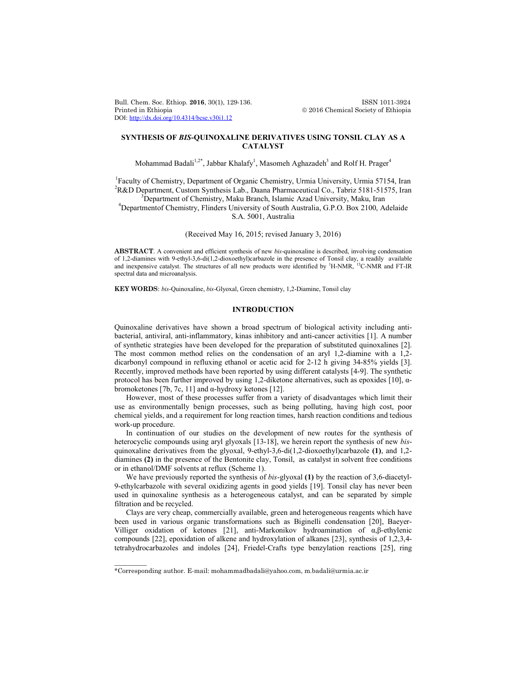Bull. Chem. Soc. Ethiop. **2016**, 30(1), 129-136. **ISSN 1011-3924**<br>Printed in Ethiopia **2016** Chemical Society of Ethiopia DOI: http://dx.doi.org/10.4314/bcse.v30i1.12

 $© 2016 Chemical Society of Ethiopia$ 

# **SYNTHESIS OF** *BIS***-QUINOXALINE DERIVATIVES USING TONSIL CLAY AS A CATALYST**

Mohammad Badali<sup>1,2\*</sup>, Jabbar Khalafy<sup>1</sup>, Masomeh Aghazadeh<sup>3</sup> and Rolf H. Prager<sup>4</sup>

<sup>1</sup>Faculty of Chemistry, Department of Organic Chemistry, Urmia University, Urmia 57154, Iran <sup>2</sup>R&D Department, Custom Synthesis Lab., Daana Pharmaceutical Co., Tabriz 5181-51575, Iran <sup>3</sup>Department of Chamistry, Malay Pranch, Johnnessen, Aged University, Malay Iran <sup>3</sup>Department of Chemistry, Maku Branch, Islamic Azad University, Maku, Iran

Departmentof Chemistry, Flinders University of South Australia, G.P.O. Box 2100, Adelaide S.A. 5001, Australia

(Received May 16, 2015; revised January 3, 2016)

**ABSTRACT**. A convenient and efficient synthesis of new *bis*-quinoxaline is described, involving condensation of 1,2-diamines with 9-ethyl-3,6-di(1,2-dioxoethyl)carbazole in the presence of Tonsil clay, a readily available and inexpensive catalyst. The structures of all new products were identified by <sup>1</sup>H-NMR, <sup>13</sup>C-NMR and FT-IR spectral data and microanalysis.

**KEY WORDS**: *bis*-Quinoxaline, *bis*-Glyoxal, Green chemistry, 1,2-Diamine, Tonsil clay

# **INTRODUCTION**

Quinoxaline derivatives have shown a broad spectrum of biological activity including antibacterial, antiviral, anti-inflammatory, kinas inhibitory and anti-cancer activities [1]. A number of synthetic strategies have been developed for the preparation of substituted quinoxalines [2]. The most common method relies on the condensation of an aryl 1,2-diamine with a 1,2 dicarbonyl compound in refluxing ethanol or acetic acid for 2-12 h giving 34-85% yields [3]. Recently, improved methods have been reported by using different catalysts [4-9]. The synthetic protocol has been further improved by using 1,2-diketone alternatives, such as epoxides [10], αbromoketones [7b, 7c, 11] and α-hydroxy ketones [12].

However, most of these processes suffer from a variety of disadvantages which limit their use as environmentally benign processes, such as being polluting, having high cost, poor chemical yields, and a requirement for long reaction times, harsh reaction conditions and tedious work-up procedure.

In continuation of our studies on the development of new routes for the synthesis of heterocyclic compounds using aryl glyoxals [13-18], we herein report the synthesis of new *bis*quinoxaline derivatives from the glyoxal, 9-ethyl-3,6-di(1,2-dioxoethyl)carbazole **(1)**, and 1,2 diamines **(2)** in the presence of the Bentonite clay, Tonsil, as catalyst in solvent free conditions or in ethanol/DMF solvents at reflux (Scheme 1).

We have previously reported the synthesis of *bis*-glyoxal **(1)** by the reaction of 3,6-diacetyl-9-ethylcarbazole with several oxidizing agents in good yields [19]. Tonsil clay has never been used in quinoxaline synthesis as a heterogeneous catalyst, and can be separated by simple filtration and be recycled.

Clays are very cheap, commercially available, green and heterogeneous reagents which have been used in various organic transformations such as Biginelli condensation [20], Baeyer-Villiger oxidation of ketones [21], anti-Markonikov hydroamination of α,β-ethylenic compounds [22], epoxidation of alkene and hydroxylation of alkanes [23], synthesis of 1,2,3,4 tetrahydrocarbazoles and indoles [24], Friedel-Crafts type benzylation reactions [25], ring

 $\overline{\phantom{a}}$ 

<sup>\*</sup>Corresponding author. E-mail: mohammadbadali@yahoo.com, m.badali@urmia.ac.ir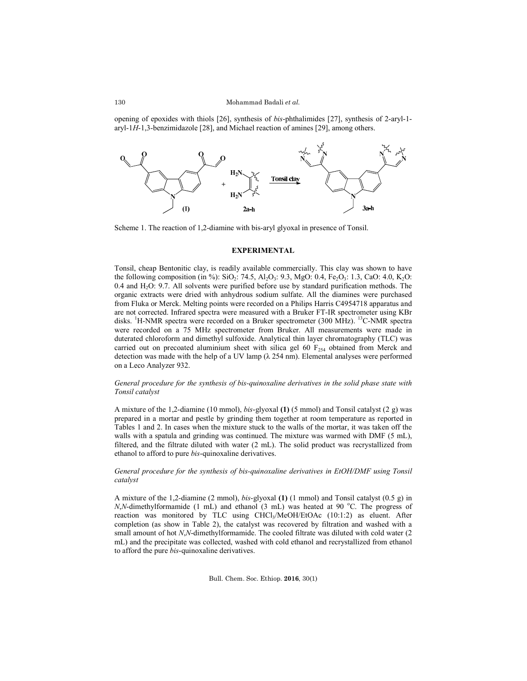opening of epoxides with thiols [26], synthesis of *bis*-phthalimides [27], synthesis of 2-aryl-1 aryl-1*H*-1,3-benzimidazole [28], and Michael reaction of amines [29], among others.



Scheme 1. The reaction of 1,2-diamine with bis-aryl glyoxal in presence of Tonsil.

## **EXPERIMENTAL**

Tonsil, cheap Bentonitic clay, is readily available commercially. This clay was shown to have the following composition (in %):  $SiO_2$ : 74.5,  $Al_2O_3$ : 9.3, MgO: 0.4, Fe<sub>2</sub>O<sub>3</sub>: 1.3, CaO: 4.0, K<sub>2</sub>O:  $0.4$  and  $H<sub>2</sub>O$ :  $9.7$ . All solvents were purified before use by standard purification methods. The organic extracts were dried with anhydrous sodium sulfate. All the diamines were purchased from Fluka or Merck. Melting points were recorded on a Philips Harris C4954718 apparatus and are not corrected. Infrared spectra were measured with a Bruker FT-IR spectrometer using KBr disks. <sup>1</sup>H-NMR spectra were recorded on a Bruker spectrometer (300 MHz). <sup>13</sup>C-NMR spectra were recorded on a 75 MHz spectrometer from Bruker. All measurements were made in duterated chloroform and dimethyl sulfoxide. Analytical thin layer chromatography (TLC) was carried out on precoated aluminium sheet with silica gel 60  $F_{254}$  obtained from Merck and detection was made with the help of a UV lamp  $(\lambda 254 \text{ nm})$ . Elemental analyses were performed on a Leco Analyzer 932.

## *General procedure for the synthesis of bis-quinoxaline derivatives in the solid phase state with Tonsil catalyst*

A mixture of the 1,2-diamine (10 mmol), *bis*-glyoxal **(1)** (5 mmol) and Tonsil catalyst (2 g) was prepared in a mortar and pestle by grinding them together at room temperature as reported in Tables 1 and 2. In cases when the mixture stuck to the walls of the mortar, it was taken off the walls with a spatula and grinding was continued. The mixture was warmed with DMF (5 mL), filtered, and the filtrate diluted with water (2 mL). The solid product was recrystallized from ethanol to afford to pure *bis*-quinoxaline derivatives.

### *General procedure for the synthesis of bis-quinoxaline derivatives in EtOH/DMF using Tonsil catalyst*

A mixture of the 1,2-diamine (2 mmol), *bis*-glyoxal **(1)** (1 mmol) and Tonsil catalyst (0.5 g) in *N*,*N*-dimethylformamide (1 mL) and ethanol (3 mL) was heated at 90 °C. The progress of reaction was monitored by TLC using CHCl<sub>3</sub>/MeOH/EtOAc (10:1:2) as eluent. After completion (as show in Table 2), the catalyst was recovered by filtration and washed with a small amount of hot *N*,*N*-dimethylformamide. The cooled filtrate was diluted with cold water (2 mL) and the precipitate was collected, washed with cold ethanol and recrystallized from ethanol to afford the pure *bis*-quinoxaline derivatives.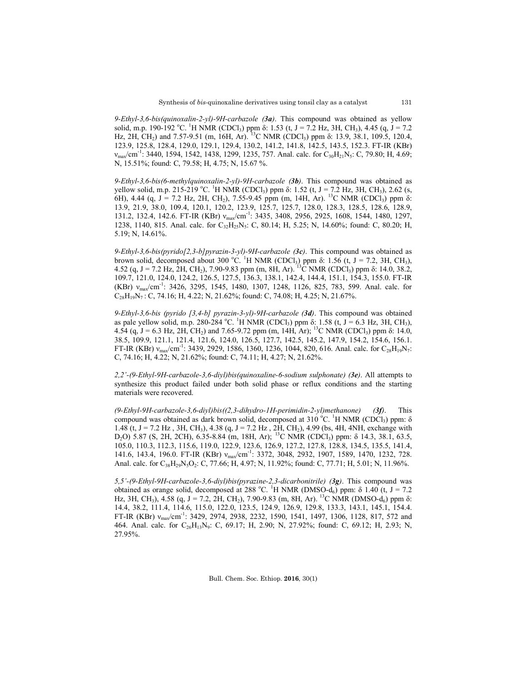*9-Ethyl-3,6-bis(quinoxalin-2-yl)-9H-carbazole (3a)*. This compound was obtained as yellow solid, m.p. 190-192 °C. <sup>1</sup>H NMR (CDCl<sub>3</sub>) ppm δ: 1.53 (t, J = 7.2 Hz, 3H, CH<sub>3</sub>), 4.45 (q, J = 7.2 Hz, 2H, CH<sub>2</sub>) and 7.57-9.51 (m, 16H, Ar). <sup>13</sup>C NMR (CDCl<sub>3</sub>) ppm  $\delta$ : 13.9, 38.1, 109.5, 120.4, 123.9, 125.8, 128.4, 129.0, 129.1, 129.4, 130.2, 141.2, 141.8, 142.5, 143.5, 152.3. FT-IR (KBr)  $v_{\text{max}}/\text{cm}^{-1}$ : 3440, 1594, 1542, 1438, 1299, 1235, 757. Anal. calc. for  $C_{30}H_{21}N_5$ : C, 79.80; H, 4.69; N, 15.51%; found: C, 79.58; H, 4.75; N, 15.67 %.

*9-Ethyl-3,6-bis(6-methylquinoxalin-2-yl)-9H-carbazole (3b)*. This compound was obtained as yellow solid, m.p. 215-219 °C. <sup>1</sup>H NMR (CDCl<sub>3</sub>) ppm δ: 1.52 (t, J = 7.2 Hz, 3H, CH<sub>3</sub>), 2.62 (s, 6H), 4.44 (q, J = 7.2 Hz, 2H, CH<sub>2</sub>), 7.55-9.45 ppm (m, 14H, Ar). <sup>13</sup>C NMR (CDCl<sub>3</sub>) ppm  $\delta$ : 13.9, 21.9, 38.0, 109.4, 120.1, 120.2, 123.9, 125.7, 125.7, 128.0, 128.3, 128.5, 128.6, 128.9, 131.2, 132.4, 142.6. FT-IR (KBr)  $v_{max}/cm^{-1}$ : 3435, 3408, 2956, 2925, 1608, 1544, 1480, 1297, 1238, 1140, 815. Anal. calc. for C<sub>32</sub>H<sub>25</sub>N<sub>5</sub>: C, 80.14; H, 5.25; N, 14.60%; found: C, 80.20; H, 5.19; N, 14.61%.

*9-Ethyl-3,6-bis(pyrido[2,3-b]pyrazin-3-yl)-9H-carbazole (3c)*. This compound was obtained as brown solid, decomposed about 300 °C. <sup>1</sup>H NMR (CDCl<sub>3</sub>) ppm δ: 1.56 (t, J = 7.2, 3H, CH<sub>3</sub>), 4.52 (q, J = 7.2 Hz, 2H, CH<sub>2</sub>), 7.90-9.83 ppm (m, 8H, Ar). <sup>13</sup>C NMR (CDCl<sub>3</sub>) ppm δ: 14.0, 38.2, 109.7, 121.0, 124.0, 124.2, 126.5, 127.5, 136.3, 138.1, 142.4, 144.4, 151.1, 154.3, 155.0. FT-IR (KBr)  $v_{\text{max}}/\text{cm}^{-1}$ : 3426, 3295, 1545, 1480, 1307, 1248, 1126, 825, 783, 599. Anal. calc. for  $C_{28}H_{19}N_7$ : C, 74.16; H, 4.22; N, 21.62%; found: C, 74.08; H, 4.25; N, 21.67%.

*9-Ethyl-3,6-bis (pyrido [3,4-b] pyrazin-3-yl)-9H-carbazole (3d)*. This compound was obtained as pale yellow solid, m.p. 280-284 °C. <sup>1</sup>H NMR (CDCl<sub>3</sub>) ppm  $\delta$ : 1.58 (t, J = 6.3 Hz, 3H, CH<sub>3</sub>), 4.54 (q, J = 6.3 Hz, 2H, CH<sub>2</sub>) and 7.65-9.72 ppm (m, 14H, Ar); <sup>13</sup>C NMR (CDCl<sub>3</sub>) ppm  $\delta$ : 14.0, 38.5, 109.9, 121.1, 121.4, 121.6, 124.0, 126.5, 127.7, 142.5, 145.2, 147.9, 154.2, 154.6, 156.1. FT-IR (KBr)  $v_{\text{max}}/\text{cm}^{-1}$ : 3439, 2929, 1586, 1360, 1236, 1044, 820, 616. Anal. calc. for  $C_{28}H_{19}N_7$ : C, 74.16; H, 4.22; N, 21.62%; found: C, 74.11; H, 4.27; N, 21.62%.

*2,2'-(9-Ethyl-9H-carbazole-3,6-diyl)bis(quinoxaline-6-sodium sulphonate) (3e)*. All attempts to synthesize this product failed under both solid phase or reflux conditions and the starting materials were recovered.

*(9-Ethyl-9H-carbazole-3,6-diyl)bis((2,3-dihydro-1H-perimidin-2-yl)methanone) (3f)*. This compound was obtained as dark brown solid, decomposed at 310 °C. <sup>1</sup>H NMR (CDCl<sub>3</sub>) ppm:  $\delta$ 1.48 (t, J = 7.2 Hz, 3H, CH<sub>3</sub>), 4.38 (q, J = 7.2 Hz, 2H, CH<sub>2</sub>), 4.99 (bs, 4H, 4NH, exchange with  $D_2$ O) 5.87 (S, 2H, 2CH), 6.35-8.84 (m, 18H, Ar); <sup>13</sup>C NMR (CDCl<sub>3</sub>) ppm: δ 14.3, 38.1, 63.5, 105.0, 110.3, 112.3, 115.6, 119.0, 122.9, 123.6, 126.9, 127.2, 127.8, 128.8, 134.5, 135.5, 141.4, 141.6, 143.4, 196.0. FT-IR (KBr) ν<sub>max</sub>/cm<sup>-1</sup>: 3372, 3048, 2932, 1907, 1589, 1470, 1232, 728. Anal. calc. for C<sub>38</sub>H<sub>29</sub>N<sub>5</sub>O<sub>2</sub>: C, 77.66; H, 4.97; N, 11.92%; found: C, 77.71; H, 5.01; N, 11.96%.

*5,5'-(9-Ethyl-9H-carbazole-3,6-diyl)bis(pyrazine-2,3-dicarbonitrile) (3g)*. This compound was obtained as orange solid, decomposed at 288 °C. <sup>1</sup>H NMR (DMSO-d<sub>6</sub>) ppm:  $\delta$  1.40 (t, J = 7.2 Hz, 3H, CH<sub>3</sub>), 4.58 (q, J = 7.2, 2H, CH<sub>2</sub>), 7.90-9.83 (m, 8H, Ar). <sup>13</sup>C NMR (DMSO-d<sub>6</sub>) ppm  $\delta$ : 14.4, 38.2, 111.4, 114.6, 115.0, 122.0, 123.5, 124.9, 126.9, 129.8, 133.3, 143.1, 145.1, 154.4. FT-IR (KBr) v<sub>max</sub>/cm<sup>-1</sup>: 3429, 2974, 2938, 2232, 1590, 1541, 1497, 1306, 1128, 817, 572 and 464. Anal. calc. for C<sub>26</sub>H<sub>13</sub>N<sub>9</sub>: C, 69.17; H, 2.90; N, 27.92%; found: C, 69.12; H, 2.93; N, 27.95%.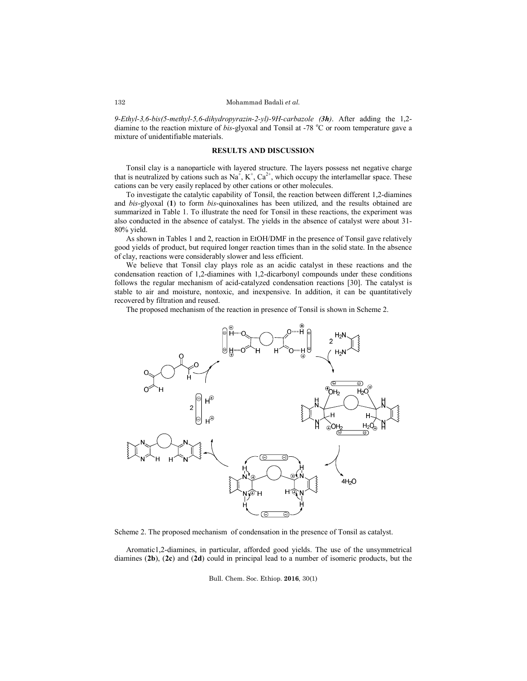*9-Ethyl-3,6-bis(5-methyl-5,6-dihydropyrazin-2-yl)-9H-carbazole (3h)*. After adding the 1,2 diamine to the reaction mixture of *bis*-glyoxal and Tonsil at -78 °C or room temperature gave a mixture of unidentifiable materials.

#### **RESULTS AND DISCUSSION**

Tonsil clay is a nanoparticle with layered structure. The layers possess net negative charge that is neutralized by cations such as  $Na^+, K^+, Ca^{2+}$ , which occupy the interlamellar space. These cations can be very easily replaced by other cations or other molecules.

To investigate the catalytic capability of Tonsil, the reaction between different 1,2-diamines and *bis*-glyoxal (**1**) to form *bis*-quinoxalines has been utilized, and the results obtained are summarized in Table 1. To illustrate the need for Tonsil in these reactions, the experiment was also conducted in the absence of catalyst. The yields in the absence of catalyst were about 31- 80% yield.

As shown in Tables 1 and 2, reaction in EtOH/DMF in the presence of Tonsil gave relatively good yields of product, but required longer reaction times than in the solid state. In the absence of clay, reactions were considerably slower and less efficient.

We believe that Tonsil clay plays role as an acidic catalyst in these reactions and the condensation reaction of 1,2-diamines with 1,2-dicarbonyl compounds under these conditions follows the regular mechanism of acid-catalyzed condensation reactions [30]. The catalyst is stable to air and moisture, nontoxic, and inexpensive. In addition, it can be quantitatively recovered by filtration and reused.

The proposed mechanism of the reaction in presence of Tonsil is shown in Scheme 2.



Scheme 2. The proposed mechanism of condensation in the presence of Tonsil as catalyst.

Aromatic1,2-diamines, in particular, afforded good yields. The use of the unsymmetrical diamines (**2b**), (**2c**) and (**2d**) could in principal lead to a number of isomeric products, but the

Bull. Chem. Soc. Ethiop. **2016**, 30(1)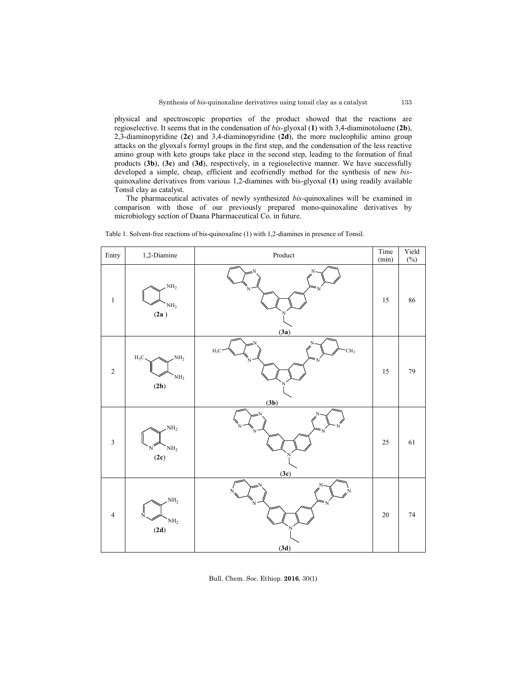physical and spectroscopic properties of the product showed that the reactions are regioselective. It seems that in the condensation of *bis*-glyoxal (**1**) with 3,4-diaminotoluene (**2b**), 2,3-diaminopyridine (**2c**) and 3,4-diaminopyridine (**2d**), the more nucleophilic amino group attacks on the glyoxal' s formyl groups in the first step, and the condensation of the less reactive amino group with keto groups take place in the second step, leading to the formation of final products (**3b**), (**3c**) and (**3d**), respectively, in a regioselective manner. We have successfully developed a simple, cheap, efficient and ecofriendly method for the synthesis of new *bis*quinoxaline derivatives from various 1,2-diamines with bis-glyoxal (**1**) using readily available Tonsil clay as catalyst.

The pharmaceutical activates of newly synthesized *bis*-quinoxalines will be examined in comparison with those of our previously prepared mono-quinoxaline derivatives by microbiology section of Daana Pharmaceutical Co. in future.

| Entry          | 1,2-Diamine                                          | $\bf Product$                          | Time<br>(min) | Yield<br>$(\%)$ |
|----------------|------------------------------------------------------|----------------------------------------|---------------|-----------------|
| $\,1\,$        | $\mathrm{NH}_2$<br>$\mathrm{NH}_2$<br>(2a)           | N<br>N<br>N<br>N<br>(3a)               | $15\,$        | 86              |
| $\sqrt{2}$     | NH <sub>2</sub><br>$H_3C$<br>$\mathrm{NH}_2$<br>(2b) | CH <sub>3</sub><br>$H_3C$<br>N<br>(3b) | $15\,$        | $\mathbf{79}$   |
| $\mathfrak{Z}$ | NH <sub>2</sub><br>NH <sub>2</sub><br>N<br>(2c)      | N<br>(3c)                              | $25\,$        | $61\,$          |
| $\overline{4}$ | NH <sub>2</sub><br>N<br>$\mathrm{NH}_2$<br>$(2d)$    | N<br>N<br>'N<br>N<br>(3d)              | $20\,$        | $74\,$          |

Table 1. Solvent-free reactions of bis-quinoxaline (1) with 1,2-diamines in presence of Tonsil.

Bull. Chem. Soc. Ethiop. **2016**, 30(1)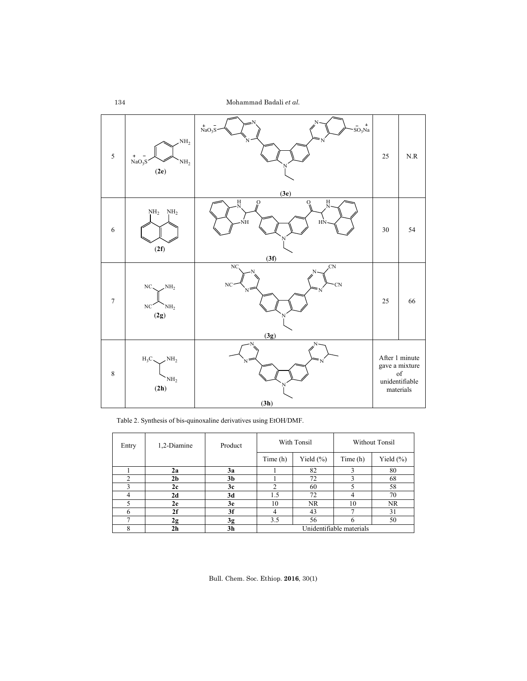| $\sqrt{5}$       | NH <sub>2</sub><br>$\ddot{}$<br>NaO <sub>3</sub> S<br>$\mathrm{NH}_2$<br>$(2e)$ | $\begin{array}{c} + \end{array}$<br>$\overline{\text{NaO}_3\text{S}}$<br>SO <sub>3</sub> Na<br>(3e) | 25     | $\rm N.R$                                                             |
|------------------|---------------------------------------------------------------------------------|-----------------------------------------------------------------------------------------------------|--------|-----------------------------------------------------------------------|
| $\epsilon$       | NH <sub>2</sub><br>$\mathrm{NH}_2$<br>(2f)                                      | $\frac{H}{N}$<br>$_{\rm N}^{\rm H}$<br>$\Omega$<br>$\circ$<br>HN<br>NΗ<br>(3f)                      | $30\,$ | 54                                                                    |
| $\boldsymbol{7}$ | NH <sub>2</sub><br>NC.<br>$_{\mathrm{NC}}$<br>NH <sub>2</sub><br>$(2g)$         | NC<br>$\overline{C}N$<br>N<br>NC<br><b>CN</b><br>$N^{\mathbb{Z}}$<br>N<br>(3g)                      | 25     | 66                                                                    |
| $\,$ $\,$        | $H_3C$<br>NH <sub>2</sub><br>$\mathrm{NH}_2$<br>(2h)                            | N<br>Ń<br>N<br>(3h)                                                                                 |        | After 1 minute<br>gave a mixture<br>of<br>unidentifiable<br>materials |

Table 2. Synthesis of bis-quinoxaline derivatives using EtOH/DMF.

| Entry | 1,2-Diamine    | Product        |                          | With Tonsil   | <b>Without Tonsil</b> |              |  |
|-------|----------------|----------------|--------------------------|---------------|-----------------------|--------------|--|
|       |                |                | Time (h)                 | Yield $(\% )$ | Time (h)              | Yield $(\%)$ |  |
|       | 2a             | 3a             |                          | 82            |                       | 80           |  |
| ↑     | 2 <sub>b</sub> | 3 <sub>b</sub> |                          | 72            |                       | 68           |  |
|       | 2c             | 3c             | 2                        | 60            |                       | 58           |  |
|       | 2d             | 3d             | 1.5                      | 72            |                       | 70           |  |
|       | 2e             | 3e             | 10                       | NR.           | 10                    | NR.          |  |
| 6     | 2f             | 3f             | 4                        | 43            |                       | 31           |  |
|       | 2g             | 3g             | 3.5                      | 56            | h                     | 50           |  |
| 8     | 2 <sub>h</sub> | 3h             | Unidentifiable materials |               |                       |              |  |

Bull. Chem. Soc. Ethiop. **2016**, 30(1)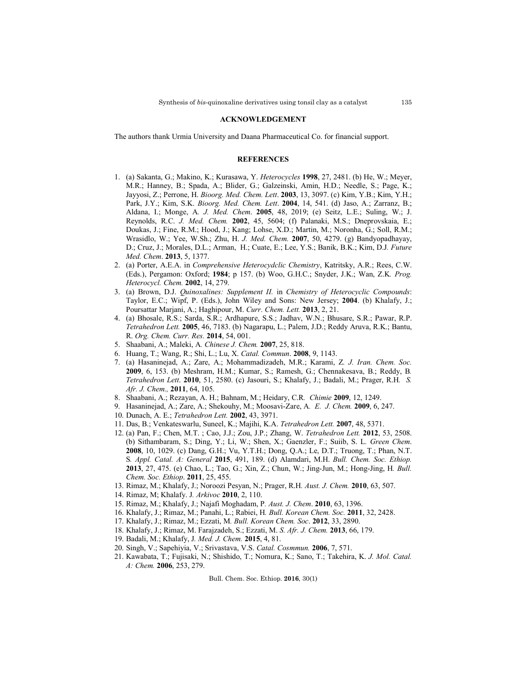#### **ACKNOWLEDGEMENT**

The authors thank Urmia University and Daana Pharmaceutical Co. for financial support.

#### **REFERENCES**

- 1. (a) Sakanta, G.; Makino, K.; Kurasawa, Y. *Heterocycles* **1998**, 27, 2481. (b) He, W.; Meyer, M.R.; Hanney, B.; Spada, A.; Blider, G.; Galzeinski, Amin, H.D.; Needle, S.; Page, K.; Jayyosi, Z.; Perrone, H. *Bioorg. Med. Chem. Lett*. **2003**, 13, 3097. (c) Kim, Y.B.; Kim, Y.H.; Park, J.Y.; Kim, S.K. *Bioorg. Med. Chem. Lett*. **2004**, 14, 541. (d) Jaso, A.; Zarranz, B.; Aldana, I.; Monge, A*. J. Med. Chem*. **2005**, 48, 2019; (e) Seitz, L.E.; Suling, W.; J. Reynolds, R.C. *J. Med. Chem.* **2002**, 45, 5604; (f) Palanaki, M.S.; Dneprovskaia, E.; Doukas, J.; Fine, R.M.; Hood, J.; Kang; Lohse, X.D.; Martin, M.; Noronha, G.; Soll, R.M.; Wrasidlo, W.; Yee, W.Sh.; Zhu, H. *J. Med. Chem.* **2007**, 50, 4279. (g) Bandyopadhayay, D.; Cruz, J.; Morales, D.L.; Arman, H.; Cuate, E.; Lee, Y.S.; Banik, B.K.; Kim, D.J*. Future Med. Chem*. **2013**, 5, 1377.
- 2. (a) Porter, A.E.A. in *Comprehensive Heterocydclic Chemistry*, Katritsky, A.R.; Rees, C.W. (Eds.), Pergamon: Oxford; **1984**; p 157. (b) Woo, G.H.C.; Snyder, J.K.; Wan, Z.K*. Prog. Heterocycl. Chem.* **2002**, 14, 279.
- 3. (a) Brown, D.J. *Quinoxalines: Supplement II.* in *Chemistry of Heterocyclic Compounds*: Taylor, E.C.; Wipf, P. (Eds.), John Wiley and Sons: New Jersey; **2004**. (b) Khalafy, J.; Poursattar Marjani, A.; Haghipour, M. *Curr. Chem. Lett.* **2013**, 2, 21.
- 4. (a) Bhosale, R.S.; Sarda, S.R.; Ardhapure, S.S.; Jadhav, W.N.; Bhusare, S.R.; Pawar, R.P. *Tetrahedron Lett.* **2005**, 46, 7183. (b) Nagarapu, L.; Palem, J.D.; Reddy Aruva, R.K.; Bantu, R. *Org. Chem. Curr. Res.* **2014**, 54, 001.
- 5. Shaabani, A.; Maleki, A*. Chinese J. Chem.* **2007**, 25, 818.
- 6. Huang, T.; Wang, R.; Shi, L.; Lu, X. *Catal. Commun*. **2008**, 9, 1143.
- 7. (a) Hasaninejad, A.; Zare, A.; Mohammadizadeh, M.R.; Karami, Z*. J. Iran. Chem. Soc.* **2009**, 6, 153. (b) Meshram, H.M.; Kumar, S.; Ramesh, G.; Chennakesava, B.; Reddy, B*. Tetrahedron Lett*. **2010**, 51, 2580. (c) Jasouri, S.; Khalafy, J.; Badali, M.; Prager, R.H*. S. Afr. J. Chem.,* **2011**, 64, 105.
- 8. Shaabani, A.; Rezayan, A. H.; Bahnam, M.; Heidary, C.R*. Chimie* **2009**, 12, 1249.
- 9. Hasaninejad, A.; Zare, A.; Shekouhy, M.; Moosavi-Zare, A*. E. J. Chem.* **2009**, 6, 247.
- 10. Dunach, A. E.; *Tetrahedron Lett.* **2002**, 43, 3971.
- 11. Das, B.; Venkateswarlu, Suneel, K.; Majihi, K.A. *Tetrahedron Lett.* **2007**, 48, 5371.
- 12. (a) Pan, F.; Chen, M.T. ; Cao, J.J.; Zou, J.P.; Zhang, W. *Tetrahedron Lett.* **2012**, 53, 2508. (b) Sithambaram, S.; Ding, Y.; Li, W.; Shen, X.; Gaenzler, F.; Suiib, S. L*. Green Chem*. **2008**, 10, 1029. (c) Dang, G.H.; Vu, Y.T.H.; Dong, Q.A.; Le, D.T.; Truong, T.; Phan, N.T. S*. Appl. Catal. A: General* **2015**, 491, 189. (d) Alamdari, M.H. *Bull. Chem. Soc. Ethiop.*  **2013**, 27, 475. (e) Chao, L.; Tao, G.; Xin, Z.; Chun, W.; Jing-Jun, M.; Hong-Jing, H*. Bull. Chem. Soc. Ethiop*. **2011**, 25, 455.
- 13. Rimaz, M.; Khalafy, J.; Noroozi Pesyan, N.; Prager, R.H*. Aust. J. Chem.* **2010**, 63, 507.
- 14. Rimaz, M; Khalafy. J*. Arkivoc* **2010**, 2, 110.
- 15. Rimaz, M.; Khalafy, J.; Najafi Moghadam, P*. Aust. J. Chem*. **2010**, 63, 1396.
- 16. Khalafy, J.; Rimaz, M.; Panahi, L.; Rabiei, H*. Bull. Korean Chem. Soc.* **2011**, 32, 2428.
- 17. Khalafy, J.; Rimaz, M.; Ezzati, M*. Bull. Korean Chem. Soc*. **2012**, 33, 2890.
- 18. Khalafy, J.; Rimaz, M. Farajzadeh, S.; Ezzati, M. *S. Afr. J. Chem.* **2013**, 66, 179.
- 19. Badali, M.; Khalafy, J*. Med. J. Chem.* **2015**, 4, 81.
- 20. Singh, V.; Sapehiyia, V.; Srivastava, V.S. *Catal. Cosmmun.* **2006**, 7, 571.
- 21. Kawabata, T.; Fujisaki, N.; Shishido, T.; Nomura, K.; Sano, T.; Takehira, K. *J. Mol. Catal. A: Chem.* **2006**, 253, 279.

Bull. Chem. Soc. Ethiop. **2016**, 30(1)